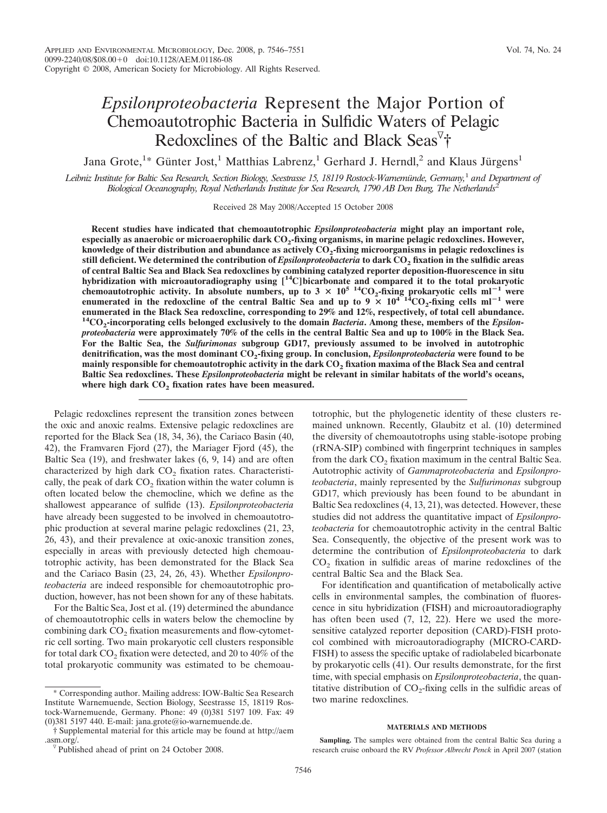# *Epsilonproteobacteria* Represent the Major Portion of Chemoautotrophic Bacteria in Sulfidic Waters of Pelagic Redoxclines of the Baltic and Black Seas<sup>7</sup>†

Jana Grote,<sup>1</sup>\* Günter Jost,<sup>1</sup> Matthias Labrenz,<sup>1</sup> Gerhard J. Herndl,<sup>2</sup> and Klaus Jürgens<sup>1</sup>

*Leibniz Institute for Baltic Sea Research, Section Biology, Seestrasse 15, 18119 Rostock-Warnemu¨nde, Germany,*<sup>1</sup> *and Department of Biological Oceanography, Royal Netherlands Institute for Sea Research, 1790 AB Den Burg, The Netherlands*<sup>2</sup>

Received 28 May 2008/Accepted 15 October 2008

**Recent studies have indicated that chemoautotrophic** *Epsilonproteobacteria* **might play an important role, especially as anaerobic or microaerophilic dark CO2-fixing organisms, in marine pelagic redoxclines. However,** knowledge of their distribution and abundance as actively CO<sub>2</sub>-fixing microorganisms in pelagic redoxclines is **still deficient. We determined the contribution of** *Epsilonproteobacteria* **to dark CO2 fixation in the sulfidic areas of central Baltic Sea and Black Sea redoxclines by combining catalyzed reporter deposition-fluorescence in situ hybridization with microautoradiography using [14C]bicarbonate and compared it to the total prokaryotic** chemoautotrophic activity. In absolute numbers, up to  $3 \times 10^{5}$  <sup>14</sup>CO<sub>2</sub>-fixing prokaryotic cells  $ml^{-1}$  were **enumerated in the redoxcline of the central Baltic Sea and up to**  $9 \times 10^{4}$  $^{14}CO_2$ **-fixing cells ml<sup>-1</sup> were enumerated in the Black Sea redoxcline, corresponding to 29% and 12%, respectively, of total cell abundance. 14CO2-incorporating cells belonged exclusively to the domain** *Bacteria***. Among these, members of the** *Epsilonproteobacteria* **were approximately 70% of the cells in the central Baltic Sea and up to 100% in the Black Sea. For the Baltic Sea, the** *Sulfurimonas* **subgroup GD17, previously assumed to be involved in autotrophic denitrification, was the most dominant CO2-fixing group. In conclusion,** *Epsilonproteobacteria* **were found to be mainly responsible for chemoautotrophic activity in the dark CO2 fixation maxima of the Black Sea and central Baltic Sea redoxclines. These** *Epsilonproteobacteria* **might be relevant in similar habitats of the world's oceans,** where high dark CO<sub>2</sub> fixation rates have been measured.

Pelagic redoxclines represent the transition zones between the oxic and anoxic realms. Extensive pelagic redoxclines are reported for the Black Sea (18, 34, 36), the Cariaco Basin (40, 42), the Framvaren Fjord (27), the Mariager Fjord (45), the Baltic Sea (19), and freshwater lakes (6, 9, 14) and are often characterized by high dark CO<sub>2</sub> fixation rates. Characteristically, the peak of dark  $CO<sub>2</sub>$  fixation within the water column is often located below the chemocline, which we define as the shallowest appearance of sulfide (13). *Epsilonproteobacteria* have already been suggested to be involved in chemoautotrophic production at several marine pelagic redoxclines (21, 23, 26, 43), and their prevalence at oxic-anoxic transition zones, especially in areas with previously detected high chemoautotrophic activity, has been demonstrated for the Black Sea and the Cariaco Basin (23, 24, 26, 43). Whether *Epsilonproteobacteria* are indeed responsible for chemoautotrophic production, however, has not been shown for any of these habitats.

For the Baltic Sea, Jost et al. (19) determined the abundance of chemoautotrophic cells in waters below the chemocline by combining dark  $CO<sub>2</sub>$  fixation measurements and flow-cytometric cell sorting. Two main prokaryotic cell clusters responsible for total dark  $CO<sub>2</sub>$  fixation were detected, and 20 to 40% of the total prokaryotic community was estimated to be chemoautotrophic, but the phylogenetic identity of these clusters remained unknown. Recently, Glaubitz et al. (10) determined the diversity of chemoautotrophs using stable-isotope probing (rRNA-SIP) combined with fingerprint techniques in samples from the dark  $CO<sub>2</sub>$  fixation maximum in the central Baltic Sea. Autotrophic activity of *Gammaproteobacteria* and *Epsilonproteobacteria*, mainly represented by the *Sulfurimonas* subgroup GD17, which previously has been found to be abundant in Baltic Sea redoxclines (4, 13, 21), was detected. However, these studies did not address the quantitative impact of *Epsilonproteobacteria* for chemoautotrophic activity in the central Baltic Sea. Consequently, the objective of the present work was to determine the contribution of *Epsilonproteobacteria* to dark  $CO<sub>2</sub>$  fixation in sulfidic areas of marine redoxclines of the central Baltic Sea and the Black Sea.

For identification and quantification of metabolically active cells in environmental samples, the combination of fluorescence in situ hybridization (FISH) and microautoradiography has often been used (7, 12, 22). Here we used the moresensitive catalyzed reporter deposition (CARD)-FISH protocol combined with microautoradiography (MICRO-CARD-FISH) to assess the specific uptake of radiolabeled bicarbonate by prokaryotic cells (41). Our results demonstrate, for the first time, with special emphasis on *Epsilonproteobacteria*, the quantitative distribution of  $CO<sub>2</sub>$ -fixing cells in the sulfidic areas of two marine redoxclines.

#### **MATERIALS AND METHODS**

**Sampling.** The samples were obtained from the central Baltic Sea during a research cruise onboard the RV *Professor Albrecht Penck* in April 2007 (station

<sup>\*</sup> Corresponding author. Mailing address: IOW-Baltic Sea Research Institute Warnemuende, Section Biology, Seestrasse 15, 18119 Rostock-Warnemuende, Germany. Phone: 49 (0)381 5197 109. Fax: 49 (0)381 5197 440. E-mail: jana.grote@io-warnemuende.de.

<sup>†</sup> Supplemental material for this article may be found at http://aem .asm.org/.<br><sup> $\sqrt{v}$ </sup> Published ahead of print on 24 October 2008.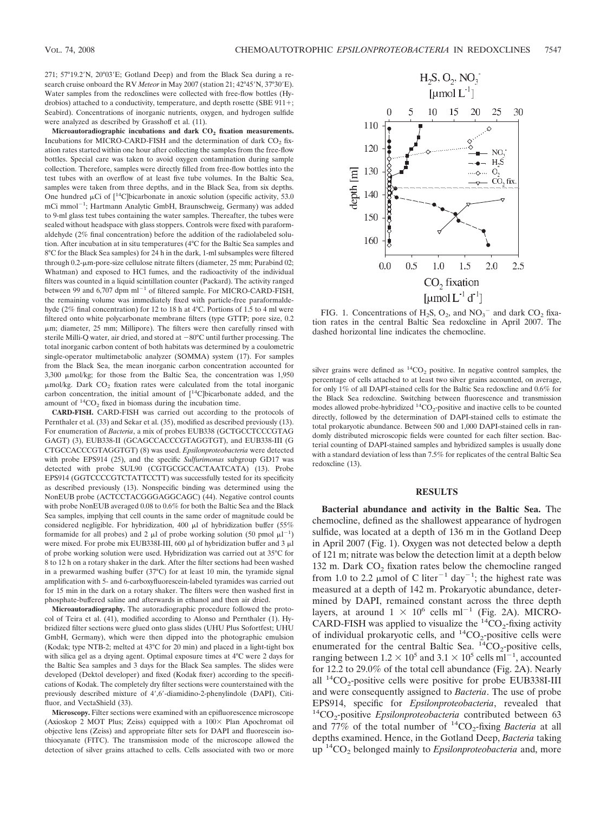271; 57°19.2'N, 20°03'E; Gotland Deep) and from the Black Sea during a research cruise onboard the RV Meteor in May 2007 (station 21; 42°45'N, 37°30'E). Water samples from the redoxclines were collected with free-flow bottles (Hydrobios) attached to a conductivity, temperature, and depth rosette (SBE 911+; Seabird). Concentrations of inorganic nutrients, oxygen, and hydrogen sulfide were analyzed as described by Grasshoff et al. (11).

Microautoradiographic incubations and dark CO<sub>2</sub> fixation measurements. Incubations for MICRO-CARD-FISH and the determination of dark  $CO<sub>2</sub>$  fixation rates started within one hour after collecting the samples from the free-flow bottles. Special care was taken to avoid oxygen contamination during sample collection. Therefore, samples were directly filled from free-flow bottles into the test tubes with an overflow of at least five tube volumes. In the Baltic Sea, samples were taken from three depths, and in the Black Sea, from six depths. One hundred  $\mu$ Ci of [<sup>14</sup>C]bicarbonate in anoxic solution (specific activity, 53.0 mCi mmol<sup>-1</sup>; Hartmann Analytic GmbH, Braunschweig, Germany) was added to 9-ml glass test tubes containing the water samples. Thereafter, the tubes were sealed without headspace with glass stoppers. Controls were fixed with paraformaldehyde (2% final concentration) before the addition of the radiolabeled solution. After incubation at in situ temperatures (4°C for the Baltic Sea samples and 8°C for the Black Sea samples) for 24 h in the dark, 1-ml subsamples were filtered through 0.2-µm-pore-size cellulose nitrate filters (diameter, 25 mm; Purabind 02; Whatman) and exposed to HCl fumes, and the radioactivity of the individual filters was counted in a liquid scintillation counter (Packard). The activity ranged between 99 and 6,707 dpm  $ml^{-1}$  of filtered sample. For MICRO-CARD-FISH, the remaining volume was immediately fixed with particle-free paraformaldehyde (2% final concentration) for 12 to 18 h at 4°C. Portions of 1.5 to 4 ml were filtered onto white polycarbonate membrane filters (type GTTP; pore size, 0.2 m; diameter, 25 mm; Millipore). The filters were then carefully rinsed with sterile Milli-Q water, air dried, and stored at  $-80^{\circ}$ C until further processing. The total inorganic carbon content of both habitats was determined by a coulometric single-operator multimetabolic analyzer (SOMMA) system (17). For samples from the Black Sea, the mean inorganic carbon concentration accounted for 3,300  $\mu$ mol/kg; for those from the Baltic Sea, the concentration was 1,950  $\mu$ mol/kg. Dark CO<sub>2</sub> fixation rates were calculated from the total inorganic carbon concentration, the initial amount of  $[14C]$ bicarbonate added, and the amount of  ${}^{14}CO_2$  fixed in biomass during the incubation time.

**CARD-FISH.** CARD-FISH was carried out according to the protocols of Pernthaler et al. (33) and Sekar et al. (35), modified as described previously (13). For enumeration of *Bacteria*, a mix of probes EUB338 (GCTGCCTCCCGTAG GAGT) (3), EUB338-II (GCAGCCACCCGTAGGTGT), and EUB338-III (G CTGCCACCCGTAGGTGT) (8) was used. *Epsilonproteobacteria* were detected with probe EPS914 (25), and the specific *Sulfurimonas* subgroup GD17 was detected with probe SUL90 (CGTGCGCCACTAATCATA) (13). Probe EPS914 (GGTCCCCGTCTATTCCTT) was successfully tested for its specificity as described previously (13). Nonspecific binding was determined using the NonEUB probe (ACTCCTACGGGAGGCAGC) (44). Negative control counts with probe NonEUB averaged 0.08 to 0.6% for both the Baltic Sea and the Black Sea samples, implying that cell counts in the same order of magnitude could be considered negligible. For hybridization, 400  $\mu$ l of hybridization buffer (55% formamide for all probes) and 2  $\mu$ l of probe working solution (50 pmol  $\mu$ l<sup>-1</sup>) were mixed. For probe mix EUB338I-III, 600  $\mu$ l of hybridization buffer and 3  $\mu$ l of probe working solution were used. Hybridization was carried out at 35°C for 8 to 12 h on a rotary shaker in the dark. After the filter sections had been washed in a prewarmed washing buffer (37°C) for at least 10 min, the tyramide signal amplification with 5- and 6-carboxyfluorescein-labeled tyramides was carried out for 15 min in the dark on a rotary shaker. The filters were then washed first in phosphate-buffered saline and afterwards in ethanol and then air dried.

**Microautoradiography.** The autoradiographic procedure followed the protocol of Teira et al. (41), modified according to Alonso and Pernthaler (1). Hybridized filter sections were glued onto glass slides (UHU Plus Sofortfest; UHU GmbH, Germany), which were then dipped into the photographic emulsion (Kodak; type NTB-2; melted at 43°C for 20 min) and placed in a light-tight box with silica gel as a drying agent. Optimal exposure times at 4°C were 2 days for the Baltic Sea samples and 3 days for the Black Sea samples. The slides were developed (Dektol developer) and fixed (Kodak fixer) according to the specifications of Kodak. The completely dry filter sections were counterstained with the previously described mixture of 4',6'-diamidino-2-phenylindole (DAPI), Citifluor, and VectaShield (33).

**Microscopy.** Filter sections were examined with an epifluorescence microscope (Axioskop 2 MOT Plus; Zeiss) equipped with a  $100\times$  Plan Apochromat oil objective lens (Zeiss) and appropriate filter sets for DAPI and fluorescein isothiocyanate (FITC). The transmission mode of the microscope allowed the detection of silver grains attached to cells. Cells associated with two or more



FIG. 1. Concentrations of  $H_2S$ ,  $O_2$ , and  $NO_3^-$  and dark  $CO_2$  fixation rates in the central Baltic Sea redoxcline in April 2007. The dashed horizontal line indicates the chemocline.

silver grains were defined as  ${}^{14}CO_2$  positive. In negative control samples, the percentage of cells attached to at least two silver grains accounted, on average, for only 1% of all DAPI-stained cells for the Baltic Sea redoxcline and 0.6% for the Black Sea redoxcline. Switching between fluorescence and transmission modes allowed probe-hybridized  $\mathrm{^{14}CO_{2}}$  positive and inactive cells to be counted directly, followed by the determination of DAPI-stained cells to estimate the total prokaryotic abundance. Between 500 and 1,000 DAPI-stained cells in randomly distributed microscopic fields were counted for each filter section. Bacterial counting of DAPI-stained samples and hybridized samples is usually done with a standard deviation of less than 7.5% for replicates of the central Baltic Sea redoxcline (13).

## **RESULTS**

**Bacterial abundance and activity in the Baltic Sea.** The chemocline, defined as the shallowest appearance of hydrogen sulfide, was located at a depth of 136 m in the Gotland Deep in April 2007 (Fig. 1). Oxygen was not detected below a depth of 121 m; nitrate was below the detection limit at a depth below 132 m. Dark  $CO<sub>2</sub>$  fixation rates below the chemocline ranged from 1.0 to 2.2  $\mu$ mol of C liter<sup>-1</sup> day<sup>-1</sup>; the highest rate was measured at a depth of 142 m. Prokaryotic abundance, determined by DAPI, remained constant across the three depth layers, at around  $1 \times 10^6$  cells ml<sup>-1</sup> (Fig. 2A). MICRO-CARD-FISH was applied to visualize the  ${}^{14}CO_{2}$ -fixing activity of individual prokaryotic cells, and  ${}^{14}CO_2$ -positive cells were enumerated for the central Baltic Sea.  ${}^{14}CO_{2}$ -positive cells, ranging between  $1.2 \times 10^5$  and  $3.1 \times 10^5$  cells ml<sup>-1</sup>, accounted for 12.2 to 29.0% of the total cell abundance (Fig. 2A). Nearly all  ${}^{14}CO_{2}$ -positive cells were positive for probe EUB338I-III and were consequently assigned to *Bacteria*. The use of probe EPS914, specific for *Epsilonproteobacteria*, revealed that <sup>14</sup>CO<sub>2</sub>-positive *Epsilonproteobacteria* contributed between 63 and 77% of the total number of  ${}^{14}CO_{2}$ -fixing *Bacteria* at all depths examined. Hence, in the Gotland Deep, *Bacteria* taking up <sup>14</sup>CO<sub>2</sub> belonged mainly to *Epsilonproteobacteria* and, more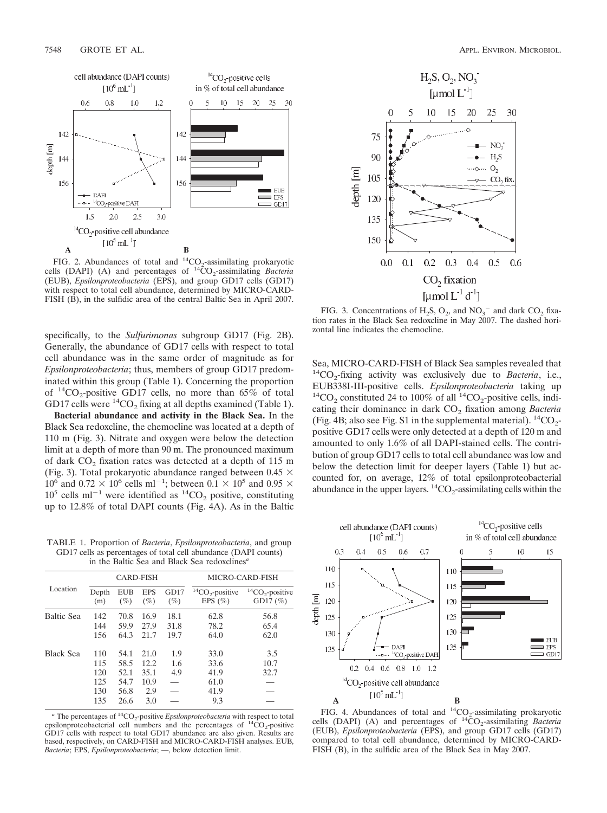

FIG. 2. Abundances of total and  ${}^{14}CO_2$ -assimilating prokaryotic cells (DAPI) (A) and percentages of  ${}^{14}CO_2$ -assimilating *Bacteria* (EUB), *Epsilonproteobacteria* (EPS), and group GD17 cells (GD17) with respect to total cell abundance, determined by MICRO-CARD-FISH (B), in the sulfidic area of the central Baltic Sea in April 2007.

specifically, to the *Sulfurimonas* subgroup GD17 (Fig. 2B). Generally, the abundance of GD17 cells with respect to total cell abundance was in the same order of magnitude as for *Epsilonproteobacteria*; thus, members of group GD17 predominated within this group (Table 1). Concerning the proportion of  $^{14}CO_{2}$ -positive GD17 cells, no more than 65% of total GD17 cells were  ${}^{14}CO_2$  fixing at all depths examined (Table 1).

**Bacterial abundance and activity in the Black Sea.** In the Black Sea redoxcline, the chemocline was located at a depth of 110 m (Fig. 3). Nitrate and oxygen were below the detection limit at a depth of more than 90 m. The pronounced maximum of dark  $CO<sub>2</sub>$  fixation rates was detected at a depth of 115 m (Fig. 3). Total prokaryotic abundance ranged between 0.45  $\times$  $10^6$  and 0.72  $\times$  10<sup>6</sup> cells ml<sup>-1</sup>; between 0.1  $\times$  10<sup>5</sup> and 0.95  $\times$  $10^5$  cells ml<sup>-1</sup> were identified as <sup>14</sup>CO<sub>2</sub> positive, constituting up to 12.8% of total DAPI counts (Fig. 4A). As in the Baltic

TABLE 1. Proportion of *Bacteria*, *Epsilonproteobacteria*, and group GD17 cells as percentages of total cell abundance (DAPI counts) in the Baltic Sea and Black Sea redoxclines*<sup>a</sup>*

| Location         | <b>CARD-FISH</b> |               |                      |                | MICRO-CARD-FISH                          |                                          |
|------------------|------------------|---------------|----------------------|----------------|------------------------------------------|------------------------------------------|
|                  | Depth<br>(m)     | EUB<br>$(\%)$ | <b>EPS</b><br>$(\%)$ | GD17<br>$(\%)$ | ${}^{14}CO_{2}$ -positive<br>EPS $(\% )$ | ${}^{14}CO_{2}$ -positive<br>GD17 $(\%)$ |
| Baltic Sea       | 142              | 70.8          | 16.9                 | 18.1           | 62.8                                     | 56.8                                     |
|                  | 144              | 59.9          | 27.9                 | 31.8           | 78.2                                     | 65.4                                     |
|                  | 156              | 64.3          | 21.7                 | 19.7           | 64.0                                     | 62.0                                     |
| <b>Black Sea</b> | 110              | 54.1          | 21.0                 | 1.9            | 33.0                                     | 3.5                                      |
|                  | 115              | 58.5          | 12.2                 | 1.6            | 33.6                                     | 10.7                                     |
|                  | 120              | 52.1          | 35.1                 | 4.9            | 41.9                                     | 32.7                                     |
|                  | 125              | 54.7          | 10.9                 |                | 61.0                                     |                                          |
|                  | 130              | 56.8          | 2.9                  |                | 41.9                                     |                                          |
|                  | 135              | 26.6          | 3.0                  |                | 9.3                                      |                                          |

 $a$ <sup>n</sup> The percentages of <sup>14</sup>CO<sub>2</sub>-positive *Epsilonproteobacteria* with respect to total epsilonproteobacterial cell numbers and the percentages of  $^{14}CO_2$ -positive GD17 cells with respect to total GD17 abundance are also given. Results are based, respectively, on CARD-FISH and MICRO-CARD-FISH analyses. EUB, *Bacteria*; EPS, *Epsilonproteobacteria*; —, below detection limit.



FIG. 3. Concentrations of  $H_2S$ ,  $O_2$ , and  $NO_3^-$  and dark  $CO_2$  fixation rates in the Black Sea redoxcline in May 2007. The dashed horizontal line indicates the chemocline.

Sea, MICRO-CARD-FISH of Black Sea samples revealed that  ${}^{14}CO_2$ -fixing activity was exclusively due to *Bacteria*, i.e., EUB338I-III-positive cells. *Epsilonproteobacteria* taking up  $^{14}CO<sub>2</sub>$  constituted 24 to 100% of all  $^{14}CO<sub>2</sub>$ -positive cells, indicating their dominance in dark CO<sub>2</sub> fixation among *Bacteria* (Fig. 4B; also see Fig. S1 in the supplemental material).  ${}^{14}CO_2$ positive GD17 cells were only detected at a depth of 120 m and amounted to only 1.6% of all DAPI-stained cells. The contribution of group GD17 cells to total cell abundance was low and below the detection limit for deeper layers (Table 1) but accounted for, on average, 12% of total epsilonproteobacterial abundance in the upper layers.  ${}^{14}CO_2$ -assimilating cells within the



FIG. 4. Abundances of total and  ${}^{14}CO_2$ -assimilating prokaryotic cells (DAPI) (A) and percentages of  $^{14}CO_2$ -assimilating *Bacteria* (EUB), *Epsilonproteobacteria* (EPS), and group GD17 cells (GD17) compared to total cell abundance, determined by MICRO-CARD-FISH (B), in the sulfidic area of the Black Sea in May 2007.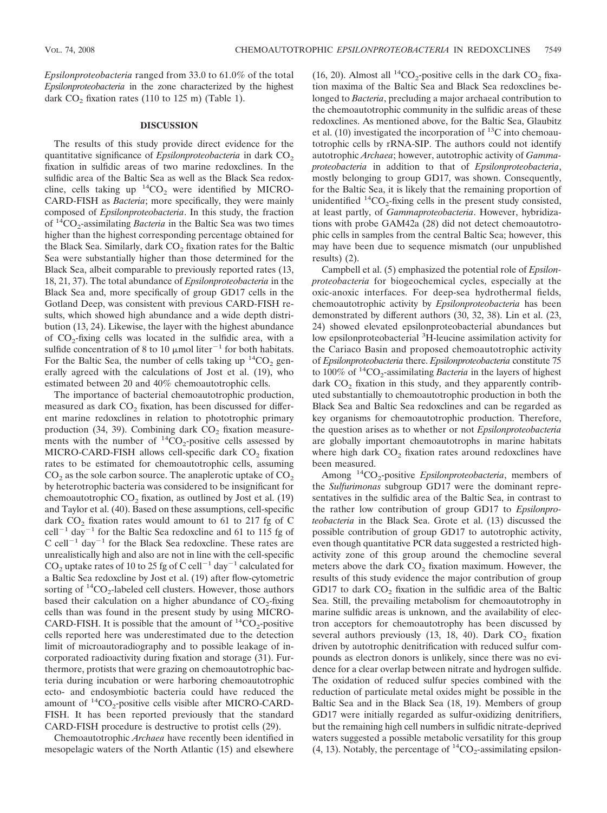*Epsilonproteobacteria* ranged from 33.0 to 61.0% of the total *Epsilonproteobacteria* in the zone characterized by the highest dark  $CO<sub>2</sub>$  fixation rates (110 to 125 m) (Table 1).

## **DISCUSSION**

The results of this study provide direct evidence for the quantitative significance of *Epsilonproteobacteria* in dark CO<sub>2</sub> fixation in sulfidic areas of two marine redoxclines. In the sulfidic area of the Baltic Sea as well as the Black Sea redoxcline, cells taking up  ${}^{14}CO_2$  were identified by MICRO-CARD-FISH as *Bacteria*; more specifically, they were mainly composed of *Epsilonproteobacteria*. In this study, the fraction of <sup>14</sup>CO<sub>2</sub>-assimilating *Bacteria* in the Baltic Sea was two times higher than the highest corresponding percentage obtained for the Black Sea. Similarly, dark CO<sub>2</sub> fixation rates for the Baltic Sea were substantially higher than those determined for the Black Sea, albeit comparable to previously reported rates (13, 18, 21, 37). The total abundance of *Epsilonproteobacteria* in the Black Sea and, more specifically of group GD17 cells in the Gotland Deep, was consistent with previous CARD-FISH results, which showed high abundance and a wide depth distribution (13, 24). Likewise, the layer with the highest abundance of  $CO<sub>2</sub>$ -fixing cells was located in the sulfidic area, with a sulfide concentration of 8 to 10  $\mu$ mol liter<sup>-1</sup> for both habitats. For the Baltic Sea, the number of cells taking up  ${}^{14}CO_2$  generally agreed with the calculations of Jost et al. (19), who estimated between 20 and 40% chemoautotrophic cells.

The importance of bacterial chemoautotrophic production, measured as dark  $CO<sub>2</sub>$  fixation, has been discussed for different marine redoxclines in relation to phototrophic primary production (34, 39). Combining dark  $CO<sub>2</sub>$  fixation measurements with the number of  ${}^{14}CO_2$ -positive cells assessed by MICRO-CARD-FISH allows cell-specific dark CO<sub>2</sub> fixation rates to be estimated for chemoautotrophic cells, assuming  $CO<sub>2</sub>$  as the sole carbon source. The anaplerotic uptake of  $CO<sub>2</sub>$ by heterotrophic bacteria was considered to be insignificant for chemoautotrophic  $CO<sub>2</sub>$  fixation, as outlined by Jost et al. (19) and Taylor et al. (40). Based on these assumptions, cell-specific dark  $CO<sub>2</sub>$  fixation rates would amount to 61 to 217 fg of C  $cell^{-1}$  day<sup>-1</sup> for the Baltic Sea redoxcline and 61 to 115 fg of C cell<sup>-1</sup> day<sup>-1</sup> for the Black Sea redoxcline. These rates are unrealistically high and also are not in line with the cell-specific CO<sub>2</sub> uptake rates of 10 to 25 fg of C cell<sup>-1</sup> day<sup>-1</sup> calculated for a Baltic Sea redoxcline by Jost et al. (19) after flow-cytometric sorting of  ${}^{14}CO_2$ -labeled cell clusters. However, those authors based their calculation on a higher abundance of  $CO<sub>2</sub>$ -fixing cells than was found in the present study by using MICRO-CARD-FISH. It is possible that the amount of  ${}^{14}CO_2$ -positive cells reported here was underestimated due to the detection limit of microautoradiography and to possible leakage of incorporated radioactivity during fixation and storage (31). Furthermore, protists that were grazing on chemoautotrophic bacteria during incubation or were harboring chemoautotrophic ecto- and endosymbiotic bacteria could have reduced the amount of  ${}^{14}CO_2$ -positive cells visible after MICRO-CARD-FISH. It has been reported previously that the standard CARD-FISH procedure is destructive to protist cells (29).

Chemoautotrophic *Archaea* have recently been identified in mesopelagic waters of the North Atlantic (15) and elsewhere

(16, 20). Almost all  ${}^{14}CO_2$ -positive cells in the dark CO<sub>2</sub> fixation maxima of the Baltic Sea and Black Sea redoxclines belonged to *Bacteria*, precluding a major archaeal contribution to the chemoautotrophic community in the sulfidic areas of these redoxclines. As mentioned above, for the Baltic Sea, Glaubitz et al.  $(10)$  investigated the incorporation of <sup>13</sup>C into chemoautotrophic cells by rRNA-SIP. The authors could not identify autotrophic *Archaea*; however, autotrophic activity of *Gammaproteobacteria* in addition to that of *Epsilonproteobacteria*, mostly belonging to group GD17, was shown. Consequently, for the Baltic Sea, it is likely that the remaining proportion of unidentified  ${}^{14}CO_{2}$ -fixing cells in the present study consisted, at least partly, of *Gammaproteobacteria*. However, hybridizations with probe GAM42a (28) did not detect chemoautotrophic cells in samples from the central Baltic Sea; however, this may have been due to sequence mismatch (our unpublished results) (2).

Campbell et al. (5) emphasized the potential role of *Epsilonproteobacteria* for biogeochemical cycles, especially at the oxic-anoxic interfaces. For deep-sea hydrothermal fields, chemoautotrophic activity by *Epsilonproteobacteria* has been demonstrated by different authors (30, 32, 38). Lin et al. (23, 24) showed elevated epsilonproteobacterial abundances but low epsilonproteobacterial <sup>3</sup>H-leucine assimilation activity for the Cariaco Basin and proposed chemoautotrophic activity of *Epsilonproteobacteria* there. *Epsilonproteobacteria* constitute 75 to  $100\%$  of  $14CO_2$ -assimilating *Bacteria* in the layers of highest dark  $CO<sub>2</sub>$  fixation in this study, and they apparently contributed substantially to chemoautotrophic production in both the Black Sea and Baltic Sea redoxclines and can be regarded as key organisms for chemoautotrophic production. Therefore, the question arises as to whether or not *Epsilonproteobacteria* are globally important chemoautotrophs in marine habitats where high dark  $CO<sub>2</sub>$  fixation rates around redoxclines have been measured.

Among <sup>14</sup>CO<sub>2</sub>-positive *Epsilonproteobacteria*, members of the *Sulfurimonas* subgroup GD17 were the dominant representatives in the sulfidic area of the Baltic Sea, in contrast to the rather low contribution of group GD17 to *Epsilonproteobacteria* in the Black Sea. Grote et al. (13) discussed the possible contribution of group GD17 to autotrophic activity, even though quantitative PCR data suggested a restricted highactivity zone of this group around the chemocline several meters above the dark  $CO<sub>2</sub>$  fixation maximum. However, the results of this study evidence the major contribution of group GD17 to dark  $CO<sub>2</sub>$  fixation in the sulfidic area of the Baltic Sea. Still, the prevailing metabolism for chemoautotrophy in marine sulfidic areas is unknown, and the availability of electron acceptors for chemoautotrophy has been discussed by several authors previously (13, 18, 40). Dark  $CO<sub>2</sub>$  fixation driven by autotrophic denitrification with reduced sulfur compounds as electron donors is unlikely, since there was no evidence for a clear overlap between nitrate and hydrogen sulfide. The oxidation of reduced sulfur species combined with the reduction of particulate metal oxides might be possible in the Baltic Sea and in the Black Sea (18, 19). Members of group GD17 were initially regarded as sulfur-oxidizing denitrifiers, but the remaining high cell numbers in sulfidic nitrate-deprived waters suggested a possible metabolic versatility for this group (4, 13). Notably, the percentage of  ${}^{14}CO_2$ -assimilating epsilon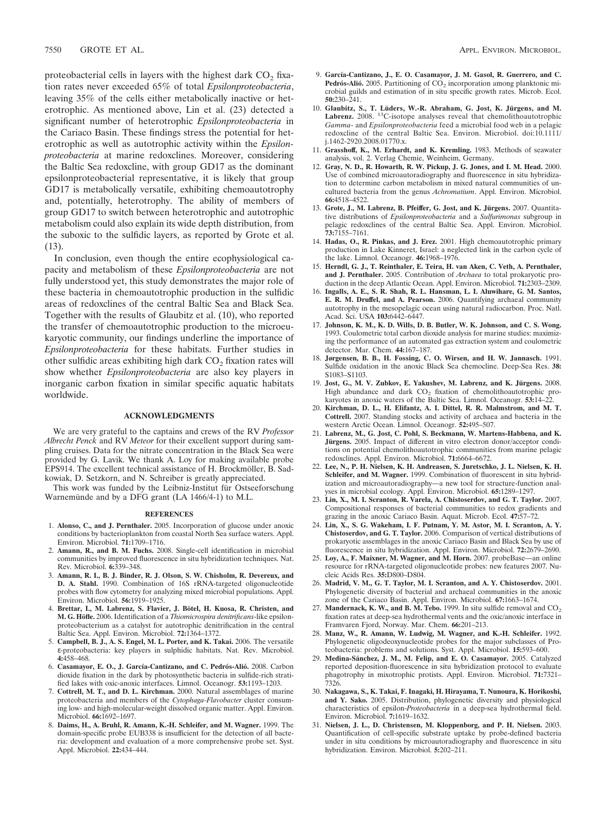proteobacterial cells in layers with the highest dark  $CO<sub>2</sub>$  fixation rates never exceeded 65% of total *Epsilonproteobacteria*, leaving 35% of the cells either metabolically inactive or heterotrophic. As mentioned above, Lin et al. (23) detected a significant number of heterotrophic *Epsilonproteobacteria* in the Cariaco Basin. These findings stress the potential for heterotrophic as well as autotrophic activity within the *Epsilonproteobacteria* at marine redoxclines. Moreover, considering the Baltic Sea redoxcline, with group GD17 as the dominant epsilonproteobacterial representative, it is likely that group GD17 is metabolically versatile, exhibiting chemoautotrophy and, potentially, heterotrophy. The ability of members of group GD17 to switch between heterotrophic and autotrophic metabolism could also explain its wide depth distribution, from the suboxic to the sulfidic layers, as reported by Grote et al. (13).

In conclusion, even though the entire ecophysiological capacity and metabolism of these *Epsilonproteobacteria* are not fully understood yet, this study demonstrates the major role of these bacteria in chemoautotrophic production in the sulfidic areas of redoxclines of the central Baltic Sea and Black Sea. Together with the results of Glaubitz et al. (10), who reported the transfer of chemoautotrophic production to the microeukaryotic community, our findings underline the importance of *Epsilonproteobacteria* for these habitats. Further studies in other sulfidic areas exhibiting high dark  $CO<sub>2</sub>$  fixation rates will show whether *Epsilonproteobacteria* are also key players in inorganic carbon fixation in similar specific aquatic habitats worldwide.

### **ACKNOWLEDGMENTS**

We are very grateful to the captains and crews of the RV *Professor Albrecht Penck* and RV *Meteor* for their excellent support during sampling cruises. Data for the nitrate concentration in the Black Sea were provided by G. Lavik. We thank A. Loy for making available probe EPS914. The excellent technical assistance of H. Brockmöller, B. Sadkowiak, D. Setzkorn, and N. Schreiber is greatly appreciated.

This work was funded by the Leibniz-Institut für Ostseeforschung Warnemunde and by a DFG grant (LA 1466/4-1) to M.L.

#### **REFERENCES**

- 1. **Alonso, C., and J. Pernthaler.** 2005. Incorporation of glucose under anoxic conditions by bacterioplankton from coastal North Sea surface waters. Appl. Environ. Microbiol. **71:**1709–1716.
- 2. **Amann, R., and B. M. Fuchs.** 2008. Single-cell identification in microbial communities by improved fluorescence in situ hybridization techniques. Nat. Rev. Microbiol. **6:**339–348.
- 3. **Amann, R. I., B. J. Binder, R. J. Olson, S. W. Chisholm, R. Devereux, and D. A. Stahl.** 1990. Combination of 16S rRNA-targeted oligonucleotide probes with flow cytometry for analyzing mixed microbial populations. Appl. Environ. Microbiol. **56:**1919–1925.
- 4. Brettar, I., M. Labrenz, S. Flavier, J. Bötel, H. Kuosa, R. Christen, and **M. G. Ho¨fle.** 2006. Identification of a *Thiomicrospira denitrificans*-like epsilonproteobacterium as a catalyst for autotrophic denitrification in the central Baltic Sea. Appl. Environ. Microbiol. **72:**1364–1372.
- 5. **Campbell, B. J., A. S. Engel, M. L. Porter, and K. Takai.** 2006. The versatile ε-proteobacteria: key players in sulphidic habitats. Nat. Rev. Microbiol. **4:**458–468.
- 6. **Casamayor, E. O., J. García-Cantizano, and C. Pedro´s-Alio´.** 2008. Carbon dioxide fixation in the dark by photosynthetic bacteria in sulfide-rich stratified lakes with oxic-anoxic interfaces. Limnol. Oceanogr. **53:**1193–1203.
- 7. **Cottrell, M. T., and D. L. Kirchman.** 2000. Natural assemblages of marine proteobacteria and members of the *Cytophaga-Flavobacter* cluster consuming low- and high-molecular-weight dissolved organic matter. Appl. Environ. Microbiol. **66:**1692–1697.
- 8. **Daims, H., A. Bruhl, R. Amann, K.-H. Schleifer, and M. Wagner.** 1999. The domain-specific probe EUB338 is insufficient for the detection of all bacteria: development and evaluation of a more comprehensive probe set. Syst. Appl. Microbiol. **22:**434–444.
- 9. **García-Cantizano, J., E. O. Casamayor, J. M. Gasol, R. Guerrero, and C.** Pedrós-Alió. 2005. Partitioning of CO<sub>2</sub> incorporation among planktonic microbial guilds and estimation of in situ specific growth rates. Microb. Ecol. **50:**230–241.
- 10. Glaubitz, S., T. Lüders, W.-R. Abraham, G. Jost, K. Jürgens, and M. Labrenz. 2008. <sup>13</sup>C-isotope analyses reveal that chemolithoautotrophic *Gamma*- and *Epsilonproteobacteria* feed a microbial food web in a pelagic redoxcline of the central Baltic Sea. Environ. Microbiol. doi:10.1111/ j.1462-2920.2008.01770.x.
- 11. **Grasshoff, K., M. Erhardt, and K. Kremling.** 1983. Methods of seawater analysis, vol. 2. Verlag Chemie, Weinheim, Germany.
- 12. **Gray, N. D., R. Howarth, R. W. Pickup, J. G. Jones, and I. M. Head.** 2000. Use of combined microautoradiography and fluorescence in situ hybridization to determine carbon metabolism in mixed natural communities of uncultured bacteria from the genus *Achromatium*. Appl. Environ. Microbiol. **66:**4518–4522.
- 13. Grote, J., M. Labrenz, B. Pfeiffer, G. Jost, and K. Jürgens. 2007. Quantitative distributions of *Epsilonproteobacteria* and a *Sulfurimonas* subgroup in pelagic redoxclines of the central Baltic Sea. Appl. Environ. Microbiol. **73:**7155–7161.
- 14. **Hadas, O., R. Pinkas, and J. Erez.** 2001. High chemoautotrophic primary production in Lake Kinneret, Israel: a neglected link in the carbon cycle of the lake. Limnol. Oceanogr. **46:**1968–1976.
- 15. **Herndl, G. J., T. Reinthaler, E. Teira, H. van Aken, C. Veth, A. Pernthaler, and J. Pernthaler.** 2005. Contribution of *Archaea* to total prokaryotic production in the deep Atlantic Ocean. Appl. Environ. Microbiol. **71:**2303–2309.
- 16. **Ingalls, A. E., S. R. Shah, R. L. Hansman, L. I. Aluwihare, G. M. Santos, E. R. M. Druffel, and A. Pearson.** 2006. Quantifying archaeal community autotrophy in the mesopelagic ocean using natural radiocarbon. Proc. Natl. Acad. Sci. USA **103:**6442–6447.
- 17. **Johnson, K. M., K. D. Wills, D. B. Butler, W. K. Johnson, and C. S. Wong.** 1993. Coulometric total carbon dioxide analysis for marine studies: maximizing the performance of an automated gas extraction system and coulometric detector. Mar. Chem. **44:**167–187.
- 18. **Jørgensen, B. B., H. Fossing, C. O. Wirsen, and H. W. Jannasch.** 1991. Sulfide oxidation in the anoxic Black Sea chemocline. Deep-Sea Res. **38:** S1083–S1103.
- 19. **Jost, G., M. V. Zubkov, E. Yakushev, M. Labrenz, and K. Jürgens.** 2008. High abundance and dark  $CO<sub>2</sub>$  fixation of chemolithoautotrophic prokaryotes in anoxic waters of the Baltic Sea. Limnol. Oceanogr. **53:**14–22.
- 20. **Kirchman, D. L., H. Elifantz, A. I. Dittel, R. R. Malmstrom, and M. T. Cottrell.** 2007. Standing stocks and activity of archaea and bacteria in the western Arctic Ocean. Limnol. Oceanogr. **52:**495–507.
- 21. **Labrenz, M., G. Jost, C. Pohl, S. Beckmann, W. Martens-Habbena, and K.** Jürgens. 2005. Impact of different in vitro electron donor/acceptor conditions on potential chemolithoautotrophic communities from marine pelagic redoxclines. Appl. Environ. Microbiol. **71:**6664–6672.
- 22. **Lee, N., P. H. Nielsen, K. H. Andreasen, S. Juretschko, J. L. Nielsen, K. H. Schleifer, and M. Wagner.** 1999. Combination of fluorescent in situ hybridization and microautoradiography—a new tool for structure-function analyses in microbial ecology. Appl. Environ. Microbiol. **65:**1289–1297.
- 23. **Lin, X., M. I. Scranton, R. Varela, A. Chistoserdov, and G. T. Taylor.** 2007. Compositional responses of bacterial communities to redox gradients and grazing in the anoxic Cariaco Basin. Aquat. Microb. Ecol. **47:**57–72.
- 24. **Lin, X., S. G. Wakeham, I. F. Putnam, Y. M. Astor, M. I. Scranton, A. Y. Chistoserdov, and G. T. Taylor.** 2006. Comparison of vertical distributions of prokaryotic assemblages in the anoxic Cariaco Basin and Black Sea by use of fluorescence in situ hybridization. Appl. Environ. Microbiol. **72:**2679–2690.
- 25. **Loy, A., F. Maixner, M. Wagner, and M. Horn.** 2007. probeBase—an online resource for rRNA-targeted oligonucleotide probes: new features 2007. Nucleic Acids Res. **35:**D800–D804.
- 26. **Madrid, V. M., G. T. Taylor, M. I. Scranton, and A. Y. Chistoserdov.** 2001. Phylogenetic diversity of bacterial and archaeal communities in the anoxic zone of the Cariaco Basin. Appl. Environ. Microbiol. **67:**1663–1674.
- 27. **Mandernack, K. W., and B. M. Tebo.** 1999. In situ sulfide removal and  $CO_2$ fixation rates at deep-sea hydrothermal vents and the oxic/anoxic interface in Framvaren Fjord, Norway. Mar. Chem. **66:**201–213.
- 28. **Manz, W., R. Amann, W. Ludwig, M. Wagner, and K.-H. Schleifer.** 1992. Phylogenetic oligodeoxynucleotide probes for the major subclasses of Proteobacteria: problems and solutions. Syst. Appl. Microbiol. **15:**593–600.
- 29. Medina-Sánchez, J. M., M. Felip, and E. O. Casamayor. 2005. Catalyzed reported deposition-fluorescence in situ hybridization protocol to evaluate phagotrophy in mixotrophic protists. Appl. Environ. Microbiol. **71:**7321– 7326.
- 30. **Nakagawa, S., K. Takai, F. Inagaki, H. Hirayama, T. Nunoura, K. Horikoshi, and Y. Sako.** 2005. Distribution, phylogenetic diversity and physiological characteristics of epsilon-*Proteobacteria* in a deep-sea hydrothermal field. Environ. Microbiol. **7:**1619–1632.
- 31. **Nielsen, J. L., D. Christensen, M. Kloppenborg, and P. H. Nielsen.** 2003. Quantification of cell-specific substrate uptake by probe-defined bacteria under in situ conditions by microautoradiography and fluorescence in situ hybridization. Environ. Microbiol. **5:**202–211.